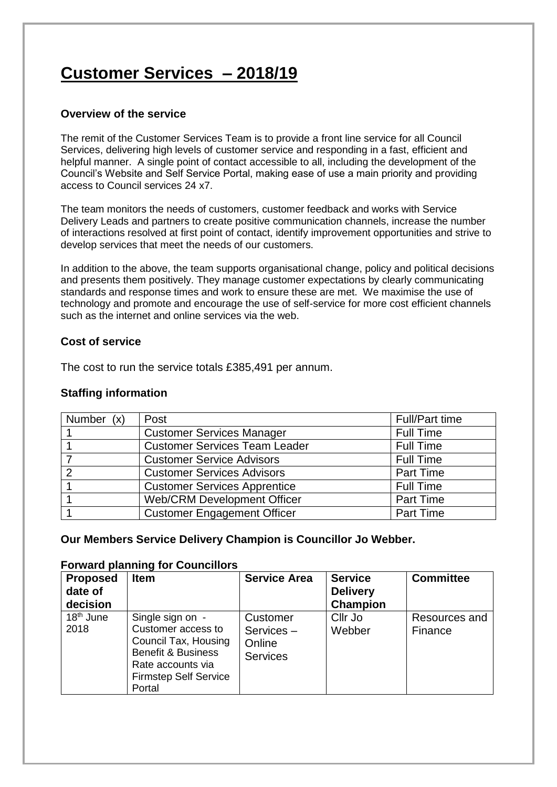## **Customer Services – 2018/19**

### **Overview of the service**

The remit of the Customer Services Team is to provide a front line service for all Council Services, delivering high levels of customer service and responding in a fast, efficient and helpful manner. A single point of contact accessible to all, including the development of the Council's Website and Self Service Portal, making ease of use a main priority and providing access to Council services 24 x7.

The team monitors the needs of customers, customer feedback and works with Service Delivery Leads and partners to create positive communication channels, increase the number of interactions resolved at first point of contact, identify improvement opportunities and strive to develop services that meet the needs of our customers.

In addition to the above, the team supports organisational change, policy and political decisions and presents them positively. They manage customer expectations by clearly communicating standards and response times and work to ensure these are met. We maximise the use of technology and promote and encourage the use of self-service for more cost efficient channels such as the internet and online services via the web.

### **Cost of service**

The cost to run the service totals £385,491 per annum.

### **Staffing information**

| Number (x) | Post                                 | <b>Full/Part time</b> |
|------------|--------------------------------------|-----------------------|
|            | <b>Customer Services Manager</b>     | <b>Full Time</b>      |
|            | <b>Customer Services Team Leader</b> | <b>Full Time</b>      |
|            | <b>Customer Service Advisors</b>     | <b>Full Time</b>      |
| າ          | <b>Customer Services Advisors</b>    | Part Time             |
|            | <b>Customer Services Apprentice</b>  | <b>Full Time</b>      |
|            | <b>Web/CRM Development Officer</b>   | Part Time             |
|            | <b>Customer Engagement Officer</b>   | Part Time             |

### **Our Members Service Delivery Champion is Councillor Jo Webber.**

#### **Forward planning for Councillors**

| <b>Proposed</b><br>date of<br>decision | <b>Item</b>                                                                                                                                                    | <b>Service Area</b>                                | <b>Service</b><br><b>Delivery</b><br><b>Champion</b> | <b>Committee</b>         |
|----------------------------------------|----------------------------------------------------------------------------------------------------------------------------------------------------------------|----------------------------------------------------|------------------------------------------------------|--------------------------|
| 18 <sup>th</sup> June<br>2018          | Single sign on -<br>Customer access to<br>Council Tax, Housing<br><b>Benefit &amp; Business</b><br>Rate accounts via<br><b>Firmstep Self Service</b><br>Portal | Customer<br>Services-<br>Online<br><b>Services</b> | Cllr Jo<br>Webber                                    | Resources and<br>Finance |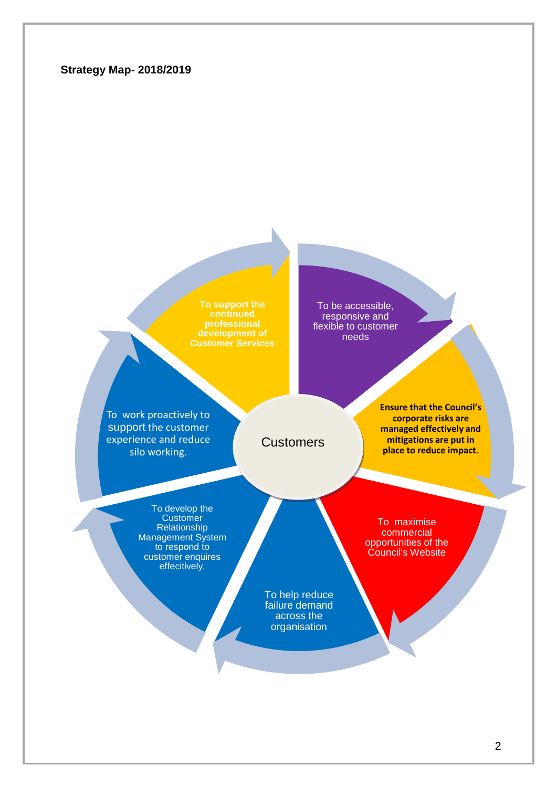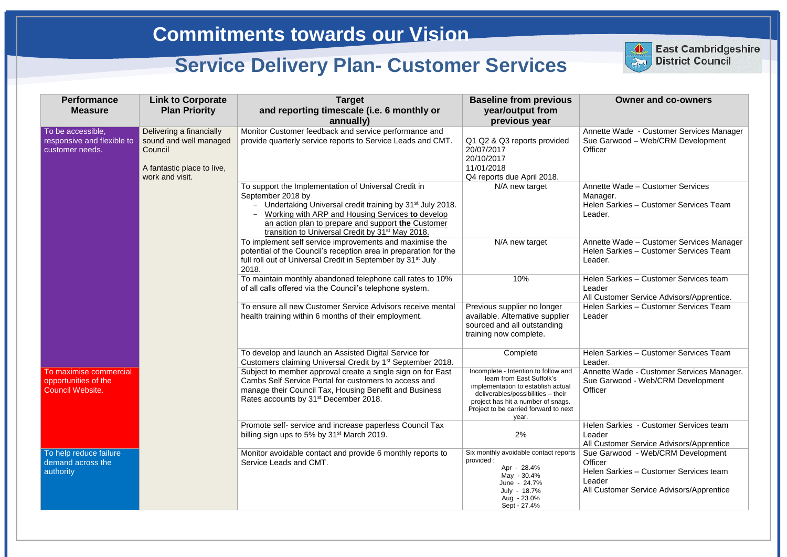### **Owner and co-owners**

nette Wade - Customer Services Manager e Garwood – Web/CRM Development ficer

nette Wade – Customer Services anager. **Hen Sarkies – Customer Services Team** ader.

nette Wade – Customer Services Manager  $H$ elen Sarkies – Customer Services Team ader.

**Ien Sarkies – Customer Services team** ader **Customer Service Advisors/Apprentice.** 

**Hen Sarkies – Customer Services Team** ader

**Plen Sarkies – Customer Services Team** ader.

nette Wade - Customer Services Manager. e Garwood - Web/CRM Development ficer

**Hen Sarkies - Customer Services team** ader

**Customer Service Advisors/Apprentice** e Garwood - Web/CRM Development ficer

**Hen Sarkies – Customer Services team** ader

**Customer Service Advisors/Apprentice** 

| <b>Performance</b><br><b>Measure</b>                                      | <b>Link to Corporate</b><br><b>Plan Priority</b>                                                               | <b>Target</b><br>and reporting timescale (i.e. 6 monthly or<br>annually)                                                                                                                                                                                                                                                    | <b>Baseline from previous</b><br>year/output from<br>previous year                                                                                                                                                                    |                               |
|---------------------------------------------------------------------------|----------------------------------------------------------------------------------------------------------------|-----------------------------------------------------------------------------------------------------------------------------------------------------------------------------------------------------------------------------------------------------------------------------------------------------------------------------|---------------------------------------------------------------------------------------------------------------------------------------------------------------------------------------------------------------------------------------|-------------------------------|
| To be accessible,<br>responsive and flexible to<br>customer needs.        | Delivering a financially<br>sound and well managed<br>Council<br>A fantastic place to live,<br>work and visit. | Monitor Customer feedback and service performance and<br>provide quarterly service reports to Service Leads and CMT.                                                                                                                                                                                                        | Q1 Q2 & Q3 reports provided<br>20/07/2017<br>20/10/2017<br>11/01/2018<br>Q4 reports due April 2018.                                                                                                                                   | Ani<br>Su<br>Off              |
|                                                                           |                                                                                                                | To support the Implementation of Universal Credit in<br>September 2018 by<br>Undertaking Universal credit training by 31 <sup>st</sup> July 2018.<br>Working with ARP and Housing Services to develop<br>an action plan to prepare and support the Customer<br>transition to Universal Credit by 31 <sup>st</sup> May 2018. | N/A new target                                                                                                                                                                                                                        | Anı<br>Ma<br>He<br>Lea        |
|                                                                           |                                                                                                                | To implement self service improvements and maximise the<br>potential of the Council's reception area in preparation for the<br>full roll out of Universal Credit in September by 31 <sup>st</sup> July<br>2018.                                                                                                             | N/A new target                                                                                                                                                                                                                        | Anı<br>He<br><b>Lea</b>       |
|                                                                           |                                                                                                                | To maintain monthly abandoned telephone call rates to 10%<br>of all calls offered via the Council's telephone system.                                                                                                                                                                                                       | 10%                                                                                                                                                                                                                                   | He<br>Lea<br>All              |
|                                                                           |                                                                                                                | To ensure all new Customer Service Advisors receive mental<br>health training within 6 months of their employment.                                                                                                                                                                                                          | Previous supplier no longer<br>available. Alternative supplier<br>sourced and all outstanding<br>training now complete.                                                                                                               | He<br>Lea                     |
|                                                                           |                                                                                                                | To develop and launch an Assisted Digital Service for<br>Customers claiming Universal Credit by 1 <sup>st</sup> September 2018.                                                                                                                                                                                             | Complete                                                                                                                                                                                                                              | He<br>Lea                     |
| To maximise commercial<br>opportunities of the<br><b>Council Website.</b> |                                                                                                                | Subject to member approval create a single sign on for East<br>Cambs Self Service Portal for customers to access and<br>manage their Council Tax, Housing Benefit and Business<br>Rates accounts by 31 <sup>st</sup> December 2018.                                                                                         | Incomplete - Intention to follow and<br>learn from East Suffolk's<br>implementation to establish actual<br>deliverables/possibilities - their<br>project has hit a number of snags.<br>Project to be carried forward to next<br>year. | Anı<br>Su<br>Off              |
|                                                                           |                                                                                                                | Promote self- service and increase paperless Council Tax<br>billing sign ups to 5% by 31 <sup>st</sup> March 2019.                                                                                                                                                                                                          | 2%                                                                                                                                                                                                                                    | He<br>Lea<br>All              |
| To help reduce failure<br>demand across the<br>authority                  |                                                                                                                | Monitor avoidable contact and provide 6 monthly reports to<br>Service Leads and CMT.                                                                                                                                                                                                                                        | Six monthly avoidable contact reports<br>provided:<br>Apr - 28.4%<br>May - 30.4%<br>June - 24.7%<br>July - 18.7%<br>Aug - 23.0%<br>Sept - 27.4%                                                                                       | Su<br>Off<br>He<br>Lea<br>All |



**East Cambridgeshire District Council**

# **Commitments towards our Vision**

# **Service Delivery Plan- Customer Services**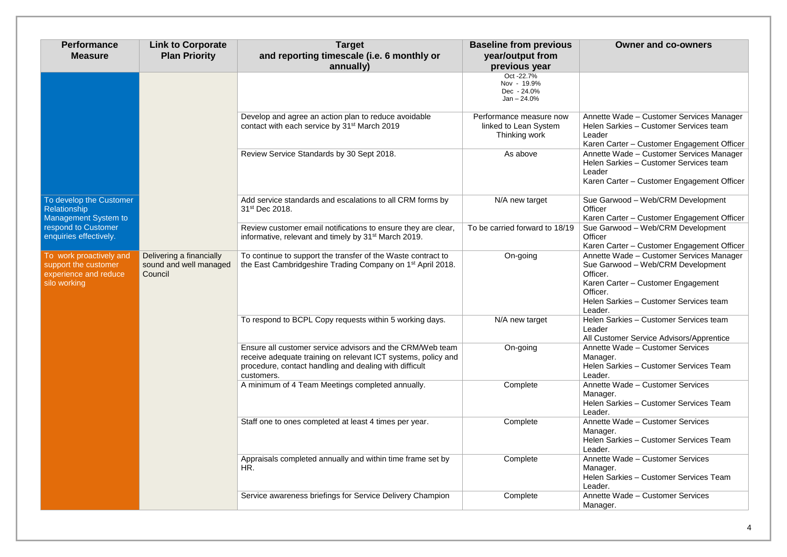| <b>Performance</b><br><b>Measure</b>                                                     | <b>Link to Corporate</b><br><b>Plan Priority</b>              | <b>Target</b><br>and reporting timescale (i.e. 6 monthly or<br>annually)                                                                                                                           | <b>Baseline from previous</b><br>year/output from<br>previous year | <b>Owner and co-owners</b>                                                                                                                                                                       |
|------------------------------------------------------------------------------------------|---------------------------------------------------------------|----------------------------------------------------------------------------------------------------------------------------------------------------------------------------------------------------|--------------------------------------------------------------------|--------------------------------------------------------------------------------------------------------------------------------------------------------------------------------------------------|
|                                                                                          |                                                               |                                                                                                                                                                                                    | Oct -22.7%<br>Nov - 19.9%<br>Dec - 24.0%<br>$Jan - 24.0%$          |                                                                                                                                                                                                  |
|                                                                                          |                                                               | Develop and agree an action plan to reduce avoidable<br>contact with each service by 31 <sup>st</sup> March 2019                                                                                   | Performance measure now<br>linked to Lean System<br>Thinking work  | Annette Wade - Customer Services Manager<br>Helen Sarkies - Customer Services team<br>Leader<br>Karen Carter - Customer Engagement Officer                                                       |
|                                                                                          |                                                               | Review Service Standards by 30 Sept 2018.                                                                                                                                                          | As above                                                           | Annette Wade - Customer Services Manager<br>Helen Sarkies - Customer Services team<br>Leader<br>Karen Carter - Customer Engagement Officer                                                       |
| To develop the Customer<br>Relationship<br>Management System to                          |                                                               | Add service standards and escalations to all CRM forms by<br>31 <sup>st</sup> Dec 2018.                                                                                                            | N/A new target                                                     | Sue Garwood - Web/CRM Development<br>Officer<br>Karen Carter - Customer Engagement Officer                                                                                                       |
| respond to Customer<br>enquiries effectively.                                            |                                                               | Review customer email notifications to ensure they are clear,<br>informative, relevant and timely by 31 <sup>st</sup> March 2019.                                                                  | To be carried forward to 18/19                                     | Sue Garwood - Web/CRM Development<br>Officer<br>Karen Carter - Customer Engagement Officer                                                                                                       |
| To work proactively and<br>support the customer<br>experience and reduce<br>silo working | Delivering a financially<br>sound and well managed<br>Council | To continue to support the transfer of the Waste contract to<br>the East Cambridgeshire Trading Company on 1 <sup>st</sup> April 2018.                                                             | On-going                                                           | Annette Wade - Customer Services Manager<br>Sue Garwood - Web/CRM Development<br>Officer.<br>Karen Carter - Customer Engagement<br>Officer.<br>Helen Sarkies - Customer Services team<br>Leader. |
|                                                                                          |                                                               | To respond to BCPL Copy requests within 5 working days.                                                                                                                                            | N/A new target                                                     | Helen Sarkies - Customer Services team<br>Leader<br>All Customer Service Advisors/Apprentice                                                                                                     |
|                                                                                          |                                                               | Ensure all customer service advisors and the CRM/Web team<br>receive adequate training on relevant ICT systems, policy and<br>procedure, contact handling and dealing with difficult<br>customers. | On-going                                                           | Annette Wade - Customer Services<br>Manager.<br>Helen Sarkies - Customer Services Team<br>Leader.                                                                                                |
|                                                                                          |                                                               | A minimum of 4 Team Meetings completed annually.                                                                                                                                                   | Complete                                                           | Annette Wade - Customer Services<br>Manager.<br>Helen Sarkies - Customer Services Team<br>Leader.                                                                                                |
|                                                                                          |                                                               | Staff one to ones completed at least 4 times per year.                                                                                                                                             | Complete                                                           | Annette Wade - Customer Services<br>Manager.<br>Helen Sarkies - Customer Services Team<br>Leader.                                                                                                |
|                                                                                          |                                                               | Appraisals completed annually and within time frame set by<br>HR.                                                                                                                                  | Complete                                                           | Annette Wade - Customer Services<br>Manager.<br>Helen Sarkies - Customer Services Team<br>Leader.                                                                                                |
|                                                                                          |                                                               | Service awareness briefings for Service Delivery Champion                                                                                                                                          | Complete                                                           | Annette Wade - Customer Services<br>Manager.                                                                                                                                                     |